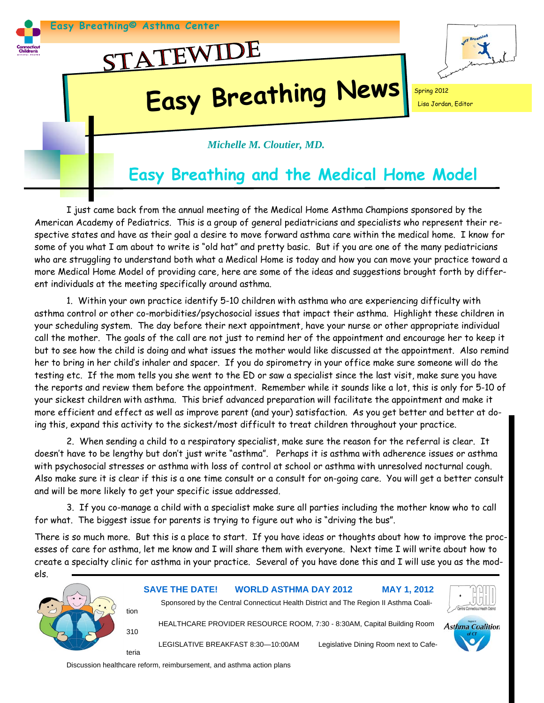

I just came back from the annual meeting of the Medical Home Asthma Champions sponsored by the American Academy of Pediatrics. This is a group of general pediatricians and specialists who represent their respective states and have as their goal a desire to move forward asthma care within the medical home. I know for some of you what I am about to write is "old hat" and pretty basic. But if you are one of the many pediatricians who are struggling to understand both what a Medical Home is today and how you can move your practice toward a more Medical Home Model of providing care, here are some of the ideas and suggestions brought forth by different individuals at the meeting specifically around asthma.

 1. Within your own practice identify 5-10 children with asthma who are experiencing difficulty with asthma control or other co-morbidities/psychosocial issues that impact their asthma. Highlight these children in your scheduling system. The day before their next appointment, have your nurse or other appropriate individual call the mother. The goals of the call are not just to remind her of the appointment and encourage her to keep it but to see how the child is doing and what issues the mother would like discussed at the appointment. Also remind her to bring in her child's inhaler and spacer. If you do spirometry in your office make sure someone will do the testing etc. If the mom tells you she went to the ED or saw a specialist since the last visit, make sure you have the reports and review them before the appointment. Remember while it sounds like a lot, this is only for 5-10 of your sickest children with asthma. This brief advanced preparation will facilitate the appointment and make it more efficient and effect as well as improve parent (and your) satisfaction. As you get better and better at doing this, expand this activity to the sickest/most difficult to treat children throughout your practice.

 2. When sending a child to a respiratory specialist, make sure the reason for the referral is clear. It doesn't have to be lengthy but don't just write "asthma". Perhaps it is asthma with adherence issues or asthma with psychosocial stresses or asthma with loss of control at school or asthma with unresolved nocturnal cough. Also make sure it is clear if this is a one time consult or a consult for on-going care. You will get a better consult and will be more likely to get your specific issue addressed.

 3. If you co-manage a child with a specialist make sure all parties including the mother know who to call for what. The biggest issue for parents is trying to figure out who is "driving the bus".

There is so much more. But this is a place to start. If you have ideas or thoughts about how to improve the processes of care for asthma, let me know and I will share them with everyone. Next time I will write about how to create a specialty clinic for asthma in your practice. Several of you have done this and I will use you as the mod-



Discussion healthcare reform, reimbursement, and asthma action plans